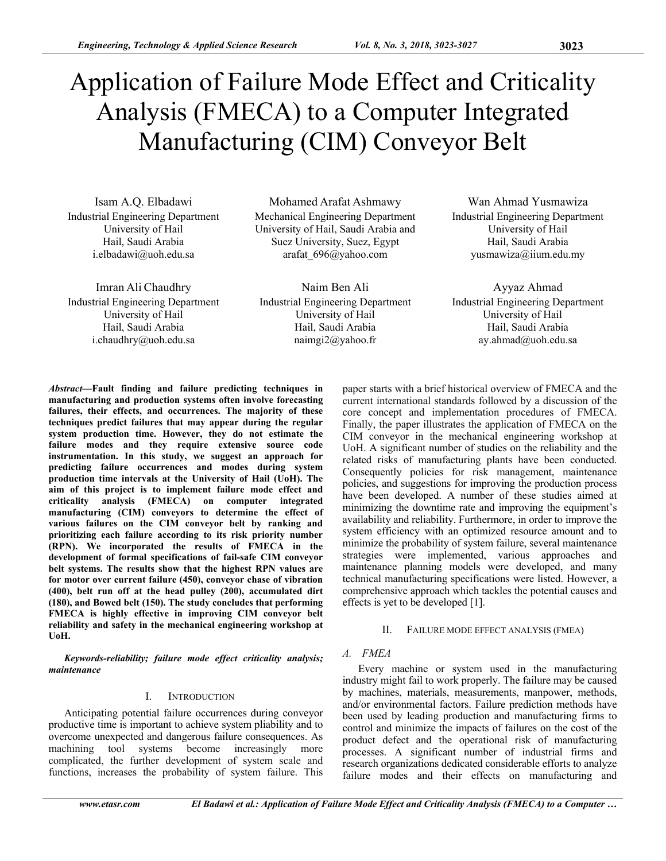# Application of Failure Mode Effect and Criticality Analysis (FMECA) to a Computer Integrated Manufacturing (CIM) Conveyor Belt

Isam A.Q. Elbadawi Industrial Engineering Department University of Hail Hail, Saudi Arabia i.elbadawi@uoh.edu.sa

Imran Ali Chaudhry Industrial Engineering Department University of Hail Hail, Saudi Arabia i.chaudhry@uoh.edu.sa

Mohamed Arafat Ashmawy Mechanical Engineering Department University of Hail, Saudi Arabia and Suez University, Suez, Egypt arafat\_696@yahoo.com

Naim Ben Ali Industrial Engineering Department University of Hail Hail, Saudi Arabia naimgi2@yahoo.fr

Wan Ahmad Yusmawiza Industrial Engineering Department University of Hail Hail, Saudi Arabia yusmawiza@iium.edu.my

Ayyaz Ahmad Industrial Engineering Department University of Hail Hail, Saudi Arabia ay.ahmad@uoh.edu.sa

*Abstract***—Fault finding and failure predicting techniques in manufacturing and production systems often involve forecasting failures, their effects, and occurrences. The majority of these techniques predict failures that may appear during the regular system production time. However, they do not estimate the failure modes and they require extensive source code instrumentation. In this study, we suggest an approach for predicting failure occurrences and modes during system production time intervals at the University of Hail (UoH). The aim of this project is to implement failure mode effect and criticality analysis (FMECA) on computer integrated manufacturing (CIM) conveyors to determine the effect of various failures on the CIM conveyor belt by ranking and prioritizing each failure according to its risk priority number (RPN). We incorporated the results of FMECA in the development of formal specifications of fail-safe CIM conveyor belt systems. The results show that the highest RPN values are for motor over current failure (450), conveyor chase of vibration (400), belt run off at the head pulley (200), accumulated dirt (180), and Bowed belt (150). The study concludes that performing FMECA is highly effective in improving CIM conveyor belt reliability and safety in the mechanical engineering workshop at UoH.** 

*Keywords-reliability; failure mode effect criticality analysis; maintenance*

## I. INTRODUCTION

Anticipating potential failure occurrences during conveyor productive time is important to achieve system pliability and to overcome unexpected and dangerous failure consequences. As machining tool systems become increasingly more complicated, the further development of system scale and functions, increases the probability of system failure. This

paper starts with a brief historical overview of FMECA and the current international standards followed by a discussion of the core concept and implementation procedures of FMECA. Finally, the paper illustrates the application of FMECA on the CIM conveyor in the mechanical engineering workshop at UoH. A significant number of studies on the reliability and the related risks of manufacturing plants have been conducted. Consequently policies for risk management, maintenance policies, and suggestions for improving the production process have been developed. A number of these studies aimed at minimizing the downtime rate and improving the equipment's availability and reliability. Furthermore, in order to improve the system efficiency with an optimized resource amount and to minimize the probability of system failure, several maintenance strategies were implemented, various approaches and maintenance planning models were developed, and many technical manufacturing specifications were listed. However, a comprehensive approach which tackles the potential causes and effects is yet to be developed [1].

## II. FAILURE MODE EFFECT ANALYSIS (FMEA)

## *A. FMEA*

Every machine or system used in the manufacturing industry might fail to work properly. The failure may be caused by machines, materials, measurements, manpower, methods, and/or environmental factors. Failure prediction methods have been used by leading production and manufacturing firms to control and minimize the impacts of failures on the cost of the product defect and the operational risk of manufacturing processes. A significant number of industrial firms and research organizations dedicated considerable efforts to analyze failure modes and their effects on manufacturing and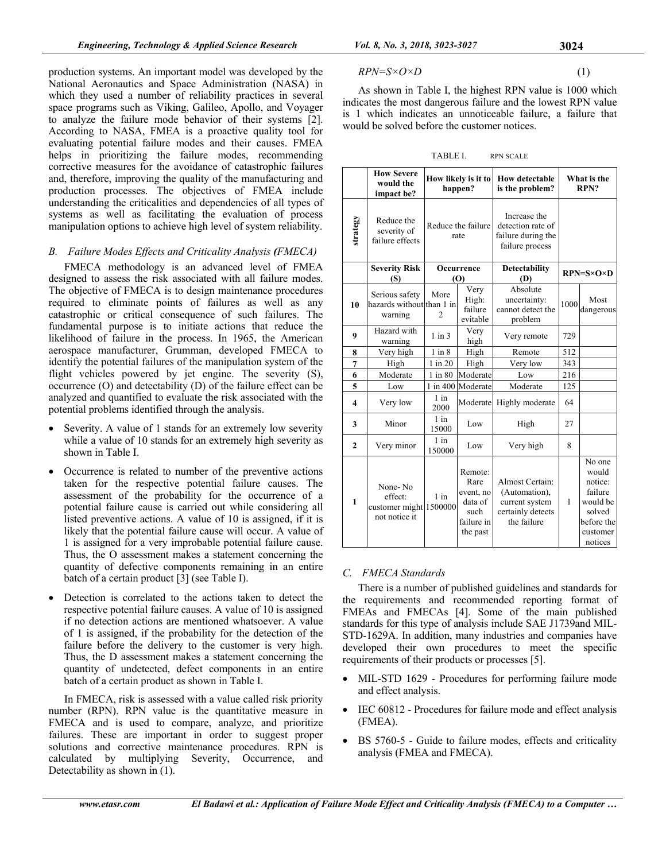production systems. An important model was developed by the National Aeronautics and Space Administration (NASA) in which they used a number of reliability practices in several space programs such as Viking, Galileo, Apollo, and Voyager to analyze the failure mode behavior of their systems [2]. According to NASA, FMEA is a proactive quality tool for evaluating potential failure modes and their causes. FMEA helps in prioritizing the failure modes, recommending corrective measures for the avoidance of catastrophic failures and, therefore, improving the quality of the manufacturing and production processes. The objectives of FMEA include understanding the criticalities and dependencies of all types of systems as well as facilitating the evaluation of process manipulation options to achieve high level of system reliability.

# *B. Failure Modes Effects and Criticality Analysis (FMECA)*

FMECA methodology is an advanced level of FMEA designed to assess the risk associated with all failure modes. The objective of FMECA is to design maintenance procedures required to eliminate points of failures as well as any catastrophic or critical consequence of such failures. The fundamental purpose is to initiate actions that reduce the likelihood of failure in the process. In 1965, the American aerospace manufacturer, Grumman, developed FMECA to identify the potential failures of the manipulation system of the flight vehicles powered by jet engine. The severity (S), occurrence (O) and detectability (D) of the failure effect can be analyzed and quantified to evaluate the risk associated with the potential problems identified through the analysis.

- Severity. A value of 1 stands for an extremely low severity while a value of 10 stands for an extremely high severity as shown in Table I.
- Occurrence is related to number of the preventive actions taken for the respective potential failure causes. The assessment of the probability for the occurrence of a potential failure cause is carried out while considering all listed preventive actions. A value of 10 is assigned, if it is likely that the potential failure cause will occur. A value of 1 is assigned for a very improbable potential failure cause. Thus, the O assessment makes a statement concerning the quantity of defective components remaining in an entire batch of a certain product [3] (see Table I).
- Detection is correlated to the actions taken to detect the respective potential failure causes. A value of 10 is assigned if no detection actions are mentioned whatsoever. A value of 1 is assigned, if the probability for the detection of the failure before the delivery to the customer is very high. Thus, the D assessment makes a statement concerning the quantity of undetected, defect components in an entire batch of a certain product as shown in Table I.

In FMECA, risk is assessed with a value called risk priority number (RPN). RPN value is the quantitative measure in FMECA and is used to compare, analyze, and prioritize failures. These are important in order to suggest proper solutions and corrective maintenance procedures. RPN is calculated by multiplying Severity, Occurrence, and Detectability as shown in (1).

$$
RPN = S \times O \times D \tag{1}
$$

As shown in Table I, the highest RPN value is 1000 which indicates the most dangerous failure and the lowest RPN value is 1 which indicates an unnoticeable failure, a failure that would be solved before the customer notices.

TABLE I. RPN SCALE

|                         | <b>How Severe</b><br>would the<br>impact be?           | How likely is it to<br>happen? |                                                                           | <b>How detectable</b><br>is the problem?                                               | What is the<br>RPN?         |                                                                                                  |
|-------------------------|--------------------------------------------------------|--------------------------------|---------------------------------------------------------------------------|----------------------------------------------------------------------------------------|-----------------------------|--------------------------------------------------------------------------------------------------|
| strategy                | Reduce the<br>severity of<br>failure effects           | Reduce the failure<br>rate     |                                                                           | Increase the<br>detection rate of<br>failure during the<br>failure process             |                             |                                                                                                  |
|                         | <b>Severity Risk</b><br>(S)                            | Occurrence<br>$\mathbf{(O)}$   |                                                                           | <b>Detectability</b><br>(D)                                                            | $RPN = S \times O \times D$ |                                                                                                  |
| 10                      | Serious safety<br>hazards without than 1 in<br>warning | More<br>$\mathfrak{D}$         | Very<br>High:<br>failure<br>evitable                                      | Absolute<br>uncertainty:<br>cannot detect the<br>problem                               | 1000                        | Most<br>dangerous                                                                                |
| 9                       | Hazard with<br>warning                                 | $1$ in $3$                     | Very<br>high                                                              | Very remote                                                                            | 729                         |                                                                                                  |
| 8                       | Very high                                              | $1$ in $8$                     | High                                                                      | Remote                                                                                 | 512                         |                                                                                                  |
| 7                       | High                                                   | $1$ in $20$                    | High                                                                      | Very low                                                                               | 343                         |                                                                                                  |
| 6                       | Moderate                                               | $1$ in $80$                    | Moderate                                                                  | Low                                                                                    | 216                         |                                                                                                  |
| 5                       | Low                                                    | $1$ in $400$                   | Moderate                                                                  | Moderate                                                                               | 125                         |                                                                                                  |
| $\overline{\mathbf{4}}$ | Very low                                               | $1$ in<br>2000                 | Moderate                                                                  | Highly moderate                                                                        | 64                          |                                                                                                  |
| 3                       | Minor                                                  | $1$ in<br>15000                | Low                                                                       | High                                                                                   | 27                          |                                                                                                  |
| $\overline{2}$          | Very minor                                             | $1$ in<br>150000               | Low                                                                       | Very high                                                                              | 8                           |                                                                                                  |
| 1                       | None-No<br>effect:<br>customer might<br>not notice it  | $1$ in<br>1500000              | Remote:<br>Rare<br>event, no<br>data of<br>such<br>failure in<br>the past | Almost Certain:<br>(Automation),<br>current system<br>certainly detects<br>the failure | 1                           | No one<br>would<br>notice:<br>failure<br>would be<br>solved<br>before the<br>customer<br>notices |

# *C. FMECA Standards*

There is a number of published guidelines and standards for the requirements and recommended reporting format of FMEAs and FMECAs [4]. Some of the main published standards for this type of analysis include SAE J1739and MIL-STD-1629A. In addition, many industries and companies have developed their own procedures to meet the specific requirements of their products or processes [5].

- MIL-STD 1629 Procedures for performing failure mode and effect analysis.
- IEC 60812 Procedures for failure mode and effect analysis (FMEA).
- BS 5760-5 Guide to failure modes, effects and criticality analysis (FMEA and FMECA).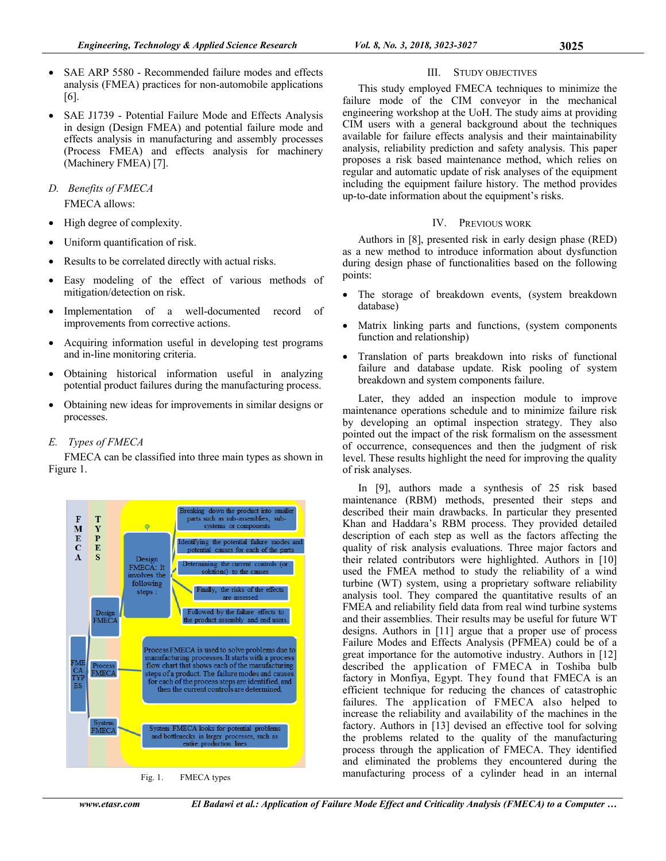- SAE ARP 5580 Recommended failure modes and effects analysis (FMEA) practices for non-automobile applications [6].
- SAE J1739 Potential Failure Mode and Effects Analysis in design (Design FMEA) and potential failure mode and effects analysis in manufacturing and assembly processes (Process FMEA) and effects analysis for machinery (Machinery FMEA) [7].
- *D. Benefits of FMECA*  FMECA allows:
- High degree of complexity.
- Uniform quantification of risk.
- Results to be correlated directly with actual risks.
- Easy modeling of the effect of various methods of mitigation/detection on risk.
- Implementation of a well-documented record of improvements from corrective actions.
- Acquiring information useful in developing test programs and in-line monitoring criteria.
- Obtaining historical information useful in analyzing potential product failures during the manufacturing process.
- Obtaining new ideas for improvements in similar designs or processes.

# *E. Types of FMECA*

FMECA can be classified into three main types as shown in Figure 1.



Fig. 1. FMECA types

# III. STUDY OBJECTIVES

This study employed FMECA techniques to minimize the failure mode of the CIM conveyor in the mechanical engineering workshop at the UoH. The study aims at providing CIM users with a general background about the techniques available for failure effects analysis and their maintainability analysis, reliability prediction and safety analysis. This paper proposes a risk based maintenance method, which relies on regular and automatic update of risk analyses of the equipment including the equipment failure history. The method provides up-to-date information about the equipment's risks.

# IV. PREVIOUS WORK

Authors in [8], presented risk in early design phase (RED) as a new method to introduce information about dysfunction during design phase of functionalities based on the following points:

- The storage of breakdown events, (system breakdown database)
- Matrix linking parts and functions, (system components function and relationship)
- Translation of parts breakdown into risks of functional failure and database update. Risk pooling of system breakdown and system components failure.

Later, they added an inspection module to improve maintenance operations schedule and to minimize failure risk by developing an optimal inspection strategy. They also pointed out the impact of the risk formalism on the assessment of occurrence, consequences and then the judgment of risk level. These results highlight the need for improving the quality of risk analyses.

In [9], authors made a synthesis of 25 risk based maintenance (RBM) methods, presented their steps and described their main drawbacks. In particular they presented Khan and Haddara's RBM process. They provided detailed description of each step as well as the factors affecting the quality of risk analysis evaluations. Three major factors and their related contributors were highlighted. Authors in [10] used the FMEA method to study the reliability of a wind turbine (WT) system, using a proprietary software reliability analysis tool. They compared the quantitative results of an FMEA and reliability field data from real wind turbine systems and their assemblies. Their results may be useful for future WT designs. Authors in [11] argue that a proper use of process Failure Modes and Effects Analysis (PFMEA) could be of a great importance for the automotive industry. Authors in [12] described the application of FMECA in Toshiba bulb factory in Monfiya, Egypt. They found that FMECA is an efficient technique for reducing the chances of catastrophic failures. The application of FMECA also helped to increase the reliability and availability of the machines in the factory. Authors in [13] devised an effective tool for solving the problems related to the quality of the manufacturing process through the application of FMECA. They identified and eliminated the problems they encountered during the manufacturing process of a cylinder head in an internal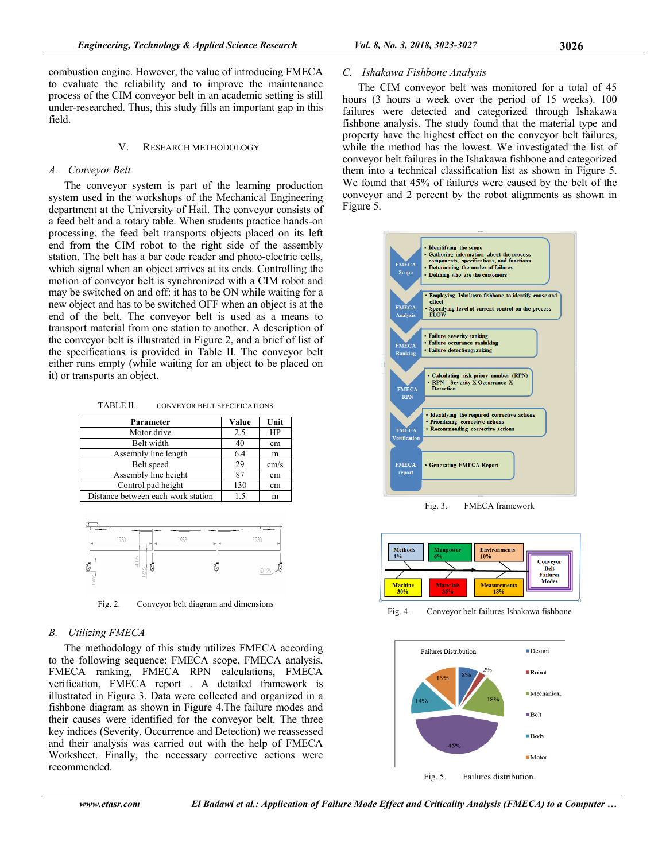combustion engine. However, the value of introducing FMECA to evaluate the reliability and to improve the maintenance process of the CIM conveyor belt in an academic setting is still under-researched. Thus, this study fills an important gap in this field.

## V. RESEARCH METHODOLOGY

## *A. Conveyor Belt*

The conveyor system is part of the learning production system used in the workshops of the Mechanical Engineering department at the University of Hail. The conveyor consists of a feed belt and a rotary table. When students practice hands-on processing, the feed belt transports objects placed on its left end from the CIM robot to the right side of the assembly station. The belt has a bar code reader and photo-electric cells, which signal when an object arrives at its ends. Controlling the motion of conveyor belt is synchronized with a CIM robot and may be switched on and off: it has to be ON while waiting for a new object and has to be switched OFF when an object is at the end of the belt. The conveyor belt is used as a means to transport material from one station to another. A description of the conveyor belt is illustrated in Figure 2, and a brief of list of the specifications is provided in Table II. The conveyor belt either runs empty (while waiting for an object to be placed on it) or transports an object.

TABLE II. CONVEYOR BELT SPECIFICATIONS

| Parameter                          | Value | Unit |
|------------------------------------|-------|------|
| Motor drive                        | 2.5   | HP   |
| Belt width                         | 40    | cm   |
| Assembly line length               | 6.4   | m    |
| Belt speed                         | 29    | cm/s |
| Assembly line height               | 87    | cm   |
| Control pad height                 | 130   | cm   |
| Distance between each work station | 1.5   | m    |



Fig. 2. Conveyor belt diagram and dimensions

# *B. Utilizing FMECA*

The methodology of this study utilizes FMECA according to the following sequence: FMECA scope, FMECA analysis, FMECA ranking, FMECA RPN calculations, FMECA verification, FMECA report . A detailed framework is illustrated in Figure 3. Data were collected and organized in a fishbone diagram as shown in Figure 4.The failure modes and their causes were identified for the conveyor belt. The three key indices (Severity, Occurrence and Detection) we reassessed and their analysis was carried out with the help of FMECA Worksheet. Finally, the necessary corrective actions were recommended.

# *C. Ishakawa Fishbone Analysis*

The CIM conveyor belt was monitored for a total of 45 hours (3 hours a week over the period of 15 weeks). 100 failures were detected and categorized through Ishakawa fishbone analysis. The study found that the material type and property have the highest effect on the conveyor belt failures, while the method has the lowest. We investigated the list of conveyor belt failures in the Ishakawa fishbone and categorized them into a technical classification list as shown in Figure 5. We found that 45% of failures were caused by the belt of the conveyor and 2 percent by the robot alignments as shown in Figure 5.



Fig. 3. FMECA framework



Fig. 4. Conveyor belt failures Ishakawa fishbone